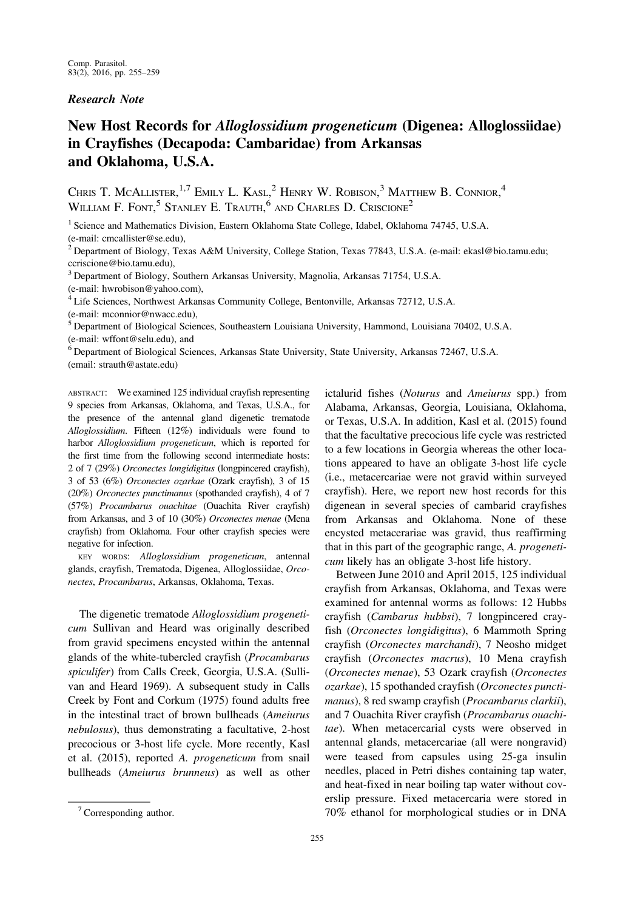## Research Note

# New Host Records for Alloglossidium progeneticum (Digenea: Alloglossiidae) in Crayfishes (Decapoda: Cambaridae) from Arkansas and Oklahoma, U.S.A.

CHRIS T. MCALLISTER,<sup>1,7</sup> EMILY L. KASL,<sup>2</sup> HENRY W. ROBISON,<sup>3</sup> MATTHEW B. CONNIOR,<sup>4</sup> WILLIAM F. FONT,<sup>5</sup> STANLEY E. TRAUTH,<sup>6</sup> AND CHARLES D. CRISCIONE<sup>2</sup>

<sup>1</sup> Science and Mathematics Division, Eastern Oklahoma State College, Idabel, Oklahoma 74745, U.S.A. (e-mail: cmcallister@se.edu),

<sup>2</sup> Department of Biology, Texas A&M University, College Station, Texas 77843, U.S.A. (e-mail: ekasl@bio.tamu.edu; ccriscione@bio.tamu.edu),

<sup>3</sup> Department of Biology, Southern Arkansas University, Magnolia, Arkansas 71754, U.S.A.

(e-mail: hwrobison@yahoo.com),

<sup>4</sup> Life Sciences, Northwest Arkansas Community College, Bentonville, Arkansas 72712, U.S.A. (e-mail: mconnior@nwacc.edu),

<sup>5</sup> Department of Biological Sciences, Southeastern Louisiana University, Hammond, Louisiana 70402, U.S.A. (e-mail: wffont@selu.edu), and

<sup>6</sup> Department of Biological Sciences, Arkansas State University, State University, Arkansas 72467, U.S.A. (email: strauth@astate.edu)

ABSTRACT: We examined 125 individual crayfish representing 9 species from Arkansas, Oklahoma, and Texas, U.S.A., for the presence of the antennal gland digenetic trematode Alloglossidium. Fifteen (12%) individuals were found to harbor Alloglossidium progeneticum, which is reported for the first time from the following second intermediate hosts: 2 of 7 (29%) Orconectes longidigitus (longpincered crayfish), 3 of 53 (6%) Orconectes ozarkae (Ozark crayfish), 3 of 15 (20%) Orconectes punctimanus (spothanded crayfish), 4 of 7 (57%) Procambarus ouachitae (Ouachita River crayfish) from Arkansas, and 3 of 10 (30%) Orconectes menae (Mena crayfish) from Oklahoma. Four other crayfish species were negative for infection.

KEY WORDS: Alloglossidium progeneticum, antennal glands, crayfish, Trematoda, Digenea, Alloglossiidae, Orconectes, Procambarus, Arkansas, Oklahoma, Texas.

The digenetic trematode Alloglossidium progeneticum Sullivan and Heard was originally described from gravid specimens encysted within the antennal glands of the white-tubercled crayfish (Procambarus spiculifer) from Calls Creek, Georgia, U.S.A. (Sullivan and Heard 1969). A subsequent study in Calls Creek by Font and Corkum (1975) found adults free in the intestinal tract of brown bullheads (Ameiurus nebulosus), thus demonstrating a facultative, 2-host precocious or 3-host life cycle. More recently, Kasl et al. (2015), reported A. progeneticum from snail bullheads (Ameiurus brunneus) as well as other ictalurid fishes (Noturus and Ameiurus spp.) from Alabama, Arkansas, Georgia, Louisiana, Oklahoma, or Texas, U.S.A. In addition, Kasl et al. (2015) found that the facultative precocious life cycle was restricted to a few locations in Georgia whereas the other locations appeared to have an obligate 3-host life cycle (i.e., metacercariae were not gravid within surveyed crayfish). Here, we report new host records for this digenean in several species of cambarid crayfishes from Arkansas and Oklahoma. None of these encysted metacerariae was gravid, thus reaffirming that in this part of the geographic range, A. progeneticum likely has an obligate 3-host life history.

Between June 2010 and April 2015, 125 individual crayfish from Arkansas, Oklahoma, and Texas were examined for antennal worms as follows: 12 Hubbs crayfish (Cambarus hubbsi), 7 longpincered crayfish (Orconectes longidigitus), 6 Mammoth Spring crayfish (Orconectes marchandi), 7 Neosho midget crayfish (Orconectes macrus), 10 Mena crayfish (Orconectes menae), 53 Ozark crayfish (Orconectes ozarkae), 15 spothanded crayfish (Orconectes punctimanus), 8 red swamp crayfish (Procambarus clarkii), and 7 Ouachita River crayfish (Procambarus ouachitae). When metacercarial cysts were observed in antennal glands, metacercariae (all were nongravid) were teased from capsules using 25-ga insulin needles, placed in Petri dishes containing tap water, and heat-fixed in near boiling tap water without coverslip pressure. Fixed metacercaria were stored in  $7$  Corresponding author.  $70\%$  ethanol for morphological studies or in DNA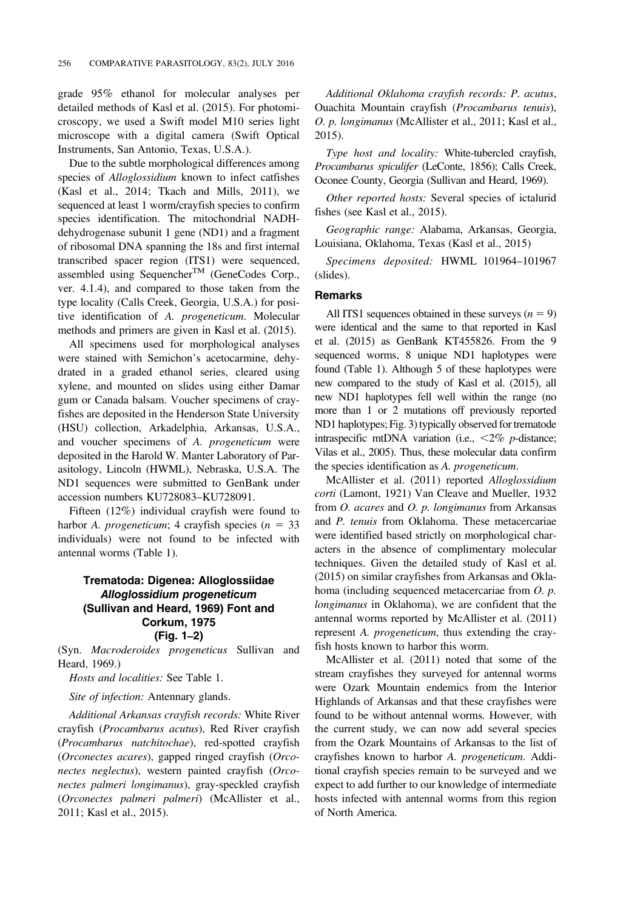grade 95% ethanol for molecular analyses per detailed methods of Kasl et al. (2015). For photomicroscopy, we used a Swift model M10 series light microscope with a digital camera (Swift Optical Instruments, San Antonio, Texas, U.S.A.).

Due to the subtle morphological differences among species of *Alloglossidium* known to infect catfishes (Kasl et al., 2014; Tkach and Mills, 2011), we sequenced at least 1 worm/crayfish species to confirm species identification. The mitochondrial NADHdehydrogenase subunit 1 gene (ND1) and a fragment of ribosomal DNA spanning the 18s and first internal transcribed spacer region (ITS1) were sequenced, assembled using Sequencher<sup>TM</sup> (GeneCodes Corp., ver. 4.1.4), and compared to those taken from the type locality (Calls Creek, Georgia, U.S.A.) for positive identification of A. progeneticum. Molecular methods and primers are given in Kasl et al. (2015).

All specimens used for morphological analyses were stained with Semichon's acetocarmine, dehydrated in a graded ethanol series, cleared using xylene, and mounted on slides using either Damar gum or Canada balsam. Voucher specimens of crayfishes are deposited in the Henderson State University (HSU) collection, Arkadelphia, Arkansas, U.S.A., and voucher specimens of A. progeneticum were deposited in the Harold W. Manter Laboratory of Parasitology, Lincoln (HWML), Nebraska, U.S.A. The ND1 sequences were submitted to GenBank under accession numbers KU728083–KU728091.

Fifteen (12%) individual crayfish were found to harbor A. *progeneticum*; 4 crayfish species ( $n = 33$ ) individuals) were not found to be infected with antennal worms (Table 1).

## Trematoda: Digenea: Alloglossiidae Alloglossidium progeneticum (Sullivan and Heard, 1969) Font and Corkum, 1975 (Fig. 1–2)

(Syn. Macroderoides progeneticus Sullivan and Heard, 1969.)

Hosts and localities: See Table 1.

Site of infection: Antennary glands.

Additional Arkansas crayfish records: White River crayfish (Procambarus acutus), Red River crayfish (Procambarus natchitochae), red-spotted crayfish (Orconectes acares), gapped ringed crayfish (Orconectes neglectus), western painted crayfish (Orconectes palmeri longimanus), gray-speckled crayfish (Orconectes palmeri palmeri) (McAllister et al., 2011; Kasl et al., 2015).

Additional Oklahoma crayfish records: P. acutus, Ouachita Mountain crayfish (Procambarus tenuis), O. p. longimanus (McAllister et al., 2011; Kasl et al., 2015).

Type host and locality: White-tubercled crayfish, Procambarus spiculifer (LeConte, 1856); Calls Creek, Oconee County, Georgia (Sullivan and Heard, 1969).

Other reported hosts: Several species of ictalurid fishes (see Kasl et al., 2015).

Geographic range: Alabama, Arkansas, Georgia, Louisiana, Oklahoma, Texas (Kasl et al., 2015)

Specimens deposited: HWML 101964–101967 (slides).

### Remarks

All ITS1 sequences obtained in these surveys  $(n = 9)$ were identical and the same to that reported in Kasl et al. (2015) as GenBank KT455826. From the 9 sequenced worms, 8 unique ND1 haplotypes were found (Table 1). Although 5 of these haplotypes were new compared to the study of Kasl et al. (2015), all new ND1 haplotypes fell well within the range (no more than 1 or 2 mutations off previously reported ND1 haplotypes; Fig. 3) typically observed for trematode intraspecific mtDNA variation (i.e.,  $\langle 2\% \rangle$  p-distance; Vilas et al., 2005). Thus, these molecular data confirm the species identification as A. progeneticum.

McAllister et al. (2011) reported Alloglossidium corti (Lamont, 1921) Van Cleave and Mueller, 1932 from *O. acares* and *O. p. longimanus* from Arkansas and P. tenuis from Oklahoma. These metacercariae were identified based strictly on morphological characters in the absence of complimentary molecular techniques. Given the detailed study of Kasl et al. (2015) on similar crayfishes from Arkansas and Oklahoma (including sequenced metacercariae from O. p. longimanus in Oklahoma), we are confident that the antennal worms reported by McAllister et al. (2011) represent A. progeneticum, thus extending the crayfish hosts known to harbor this worm.

McAllister et al. (2011) noted that some of the stream crayfishes they surveyed for antennal worms were Ozark Mountain endemics from the Interior Highlands of Arkansas and that these crayfishes were found to be without antennal worms. However, with the current study, we can now add several species from the Ozark Mountains of Arkansas to the list of crayfishes known to harbor A. progeneticum. Additional crayfish species remain to be surveyed and we expect to add further to our knowledge of intermediate hosts infected with antennal worms from this region of North America.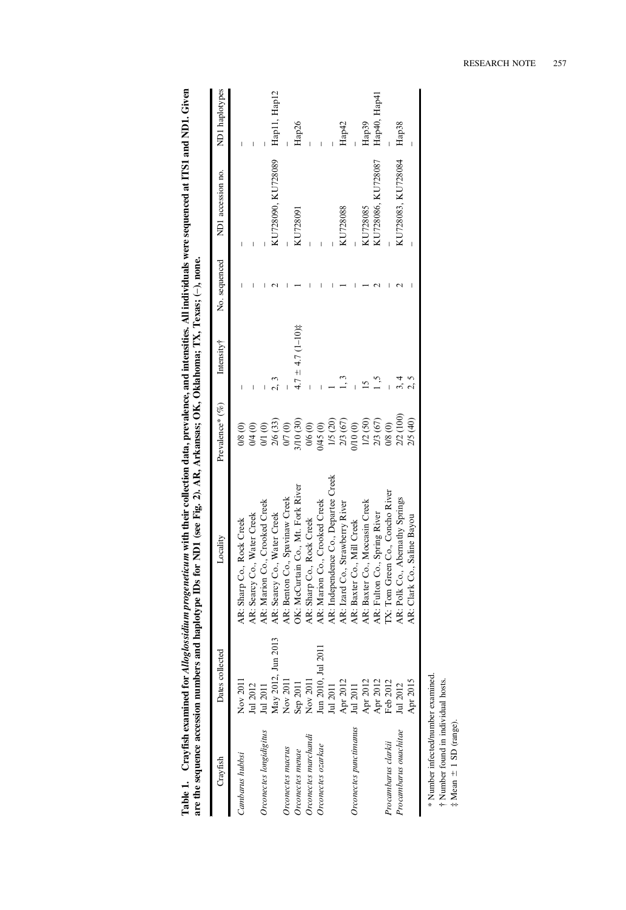|                                   |                    | which is a consequent of the community of the consequent of the consequent of the consequent material consequent of the consequent of the consequent of the consequent of the consequent of the consequent of the consequent o |                 |                       |               |                    |                   |
|-----------------------------------|--------------------|--------------------------------------------------------------------------------------------------------------------------------------------------------------------------------------------------------------------------------|-----------------|-----------------------|---------------|--------------------|-------------------|
| Crayfish                          | Dates collecte     | Locality                                                                                                                                                                                                                       | Prevalence* (%) | Intensity†            | No. sequenced | ND1 accession no.  | ND1 haplotypes    |
| Cambarus hubbsi                   | Nov 201            | AR: Sharp Co., Rock Creek                                                                                                                                                                                                      | 0/8(0)          |                       |               |                    |                   |
|                                   | Jul 2012           | AR: Searcy Co., Water Creek                                                                                                                                                                                                    | 0/4 (0)         |                       |               |                    |                   |
| Orconectes longidigitus           | $\frac{1}{2011}$   | AR: Marion Co., Crooked Creek                                                                                                                                                                                                  | 0/1 (0)         |                       |               |                    |                   |
|                                   | May 2012, Jun 2013 | AR: Searcy Co., Water Creek                                                                                                                                                                                                    | 2/6 (33)        |                       |               | KU728090, KU728089 | Hap11, Hap12      |
| Orconectes macrus                 | Nov 2011           | AR: Benton Co., Spavinaw Creek                                                                                                                                                                                                 | 0/7 (0)         |                       |               |                    |                   |
| Orconectes menae                  | Sep 2011           | OK: McCurtain Co., Mt. Fork River                                                                                                                                                                                              | 410(30)         | $4.7 \pm 4.7$ (1-10)‡ |               | KU728091           | Hap26             |
| Orconectes marchandi              | Nov 2011           | AR: Sharp Co., Rock Creek                                                                                                                                                                                                      | 0/6 (0)         |                       |               |                    |                   |
| Orconectes ozarkae                | Jun 2010, Jul 2011 | AR: Marion Co., Crooked Creek                                                                                                                                                                                                  | /45 (0)         |                       |               |                    |                   |
|                                   | Jul 2011           | AR: Independence Co., Departee Creek                                                                                                                                                                                           | 1/5 (20)        |                       |               |                    |                   |
|                                   | Apr 2012           | AR: Izard Co., Strawberry River                                                                                                                                                                                                | 2/3 (67)        |                       |               | KU728088           | Hap <sup>42</sup> |
| Orconectes punctimanus            | Jul 2011           | AR: Baxter Co., Mill Creek                                                                                                                                                                                                     | (0, 01)         |                       |               |                    |                   |
|                                   | Apr 2012           | AR: Baxter Co., Moccasin Creek                                                                                                                                                                                                 | 1/2(50)         |                       |               | KU728085           | Hap39             |
|                                   | Apr 2012           | AR: Fulton Co., Spring River                                                                                                                                                                                                   | 2/3 (67)        |                       |               | KU728086, KU728087 | Hap40, Hap41      |
| Procambarus clarkii               | Feb 2012           | IX: Tom Green Co., Concho River                                                                                                                                                                                                | 0/8 (0)         |                       |               |                    |                   |
| Procambarus ouachitae             | Jul 2012           | AR: Polk Co., Abernathy Springs                                                                                                                                                                                                | 2/2 (100)       |                       |               | KU728083, KU728084 | Hap38             |
|                                   | Apr 2015           | AR: Clark Co., Saline Bayou                                                                                                                                                                                                    | 2/5 (40)        |                       |               |                    |                   |
| k Number infected/mumber examined |                    |                                                                                                                                                                                                                                |                 |                       |               |                    |                   |

Table 1. Crayfish examined for Alloglossidium progeneticum with their collection data, prevalence, and intensities. All individuals were sequenced at ITS1 and ND1. Given<br>are the sequence accession numbers and haplotype IDs Table 1. Crayfish examined for Alloglossidium progeneticum with their collection data, prevalence, and intensities. All individuals were sequenced at ITS1 and ND1. Given are the sequence accession numbers and haplotype IDs for ND1 (see Fig. 2). AR, Arkansas; OK, Oklahoma; TX, Texas; (–), none.

Number infected/number examined.

\*{ Number found in individual hosts. ‡ Mean ± 1 SD (range).  $\ddagger$  Mean  $\pm$  1 SD (range).

RESEARCH NOTE 257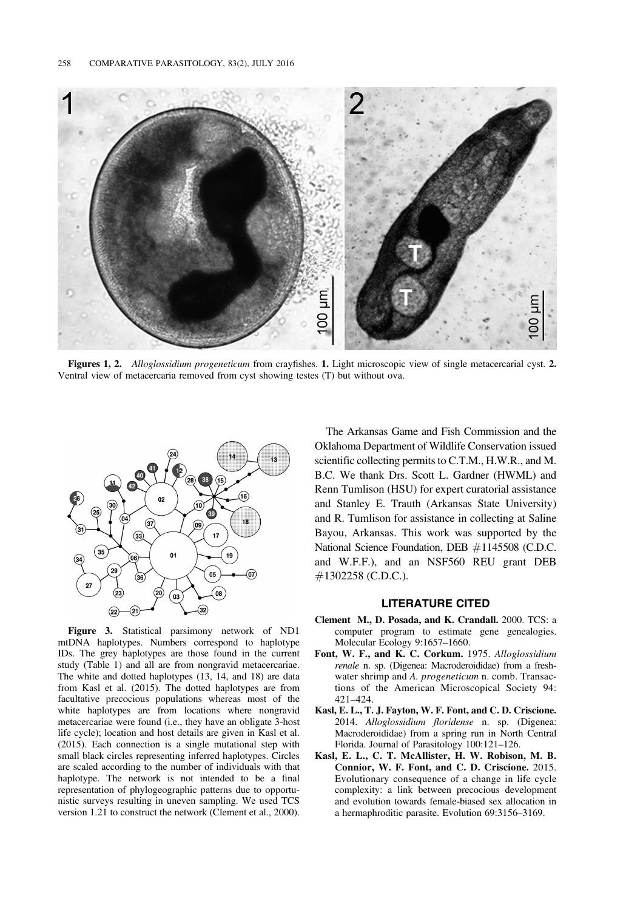

Figures 1, 2. Alloglossidium progeneticum from crayfishes. 1. Light microscopic view of single metacercarial cyst. 2. Ventral view of metacercaria removed from cyst showing testes (T) but without ova.



Figure 3. Statistical parsimony network of ND1 mtDNA haplotypes. Numbers correspond to haplotype IDs. The grey haplotypes are those found in the current study (Table 1) and all are from nongravid metacercariae. The white and dotted haplotypes (13, 14, and 18) are data from Kasl et al. (2015). The dotted haplotypes are from facultative precocious populations whereas most of the white haplotypes are from locations where nongravid metacercariae were found (i.e., they have an obligate 3-host life cycle); location and host details are given in Kasl et al. (2015). Each connection is a single mutational step with small black circles representing inferred haplotypes. Circles are scaled according to the number of individuals with that haplotype. The network is not intended to be a final representation of phylogeographic patterns due to opportunistic surveys resulting in uneven sampling. We used TCS version 1.21 to construct the network (Clement et al., 2000).

The Arkansas Game and Fish Commission and the Oklahoma Department of Wildlife Conservation issued scientific collecting permits to C.T.M., H.W.R., and M. B.C. We thank Drs. Scott L. Gardner (HWML) and Renn Tumlison (HSU) for expert curatorial assistance and Stanley E. Trauth (Arkansas State University) and R. Tumlison for assistance in collecting at Saline Bayou, Arkansas. This work was supported by the National Science Foundation, DEB #1145508 (C.D.C. and W.F.F.), and an NSF560 REU grant DEB #1302258 (C.D.C.).

#### LITERATURE CITED

- Clement M., D. Posada, and K. Crandall. 2000. TCS: a computer program to estimate gene genealogies. Molecular Ecology 9:1657–1660.
- Font, W. F., and K. C. Corkum. 1975. Alloglossidium renale n. sp. (Digenea: Macroderoididae) from a freshwater shrimp and A. *progeneticum* n. comb. Transactions of the American Microscopical Society 94: 421–424.
- Kasl, E. L., T. J. Fayton, W. F. Font, and C. D. Criscione. 2014. Alloglossidium floridense n. sp. (Digenea: Macroderoididae) from a spring run in North Central Florida. Journal of Parasitology 100:121–126.
- Kasl, E. L., C. T. McAllister, H. W. Robison, M. B. Connior, W. F. Font, and C. D. Criscione. 2015. Evolutionary consequence of a change in life cycle complexity: a link between precocious development and evolution towards female-biased sex allocation in a hermaphroditic parasite. Evolution 69:3156–3169.